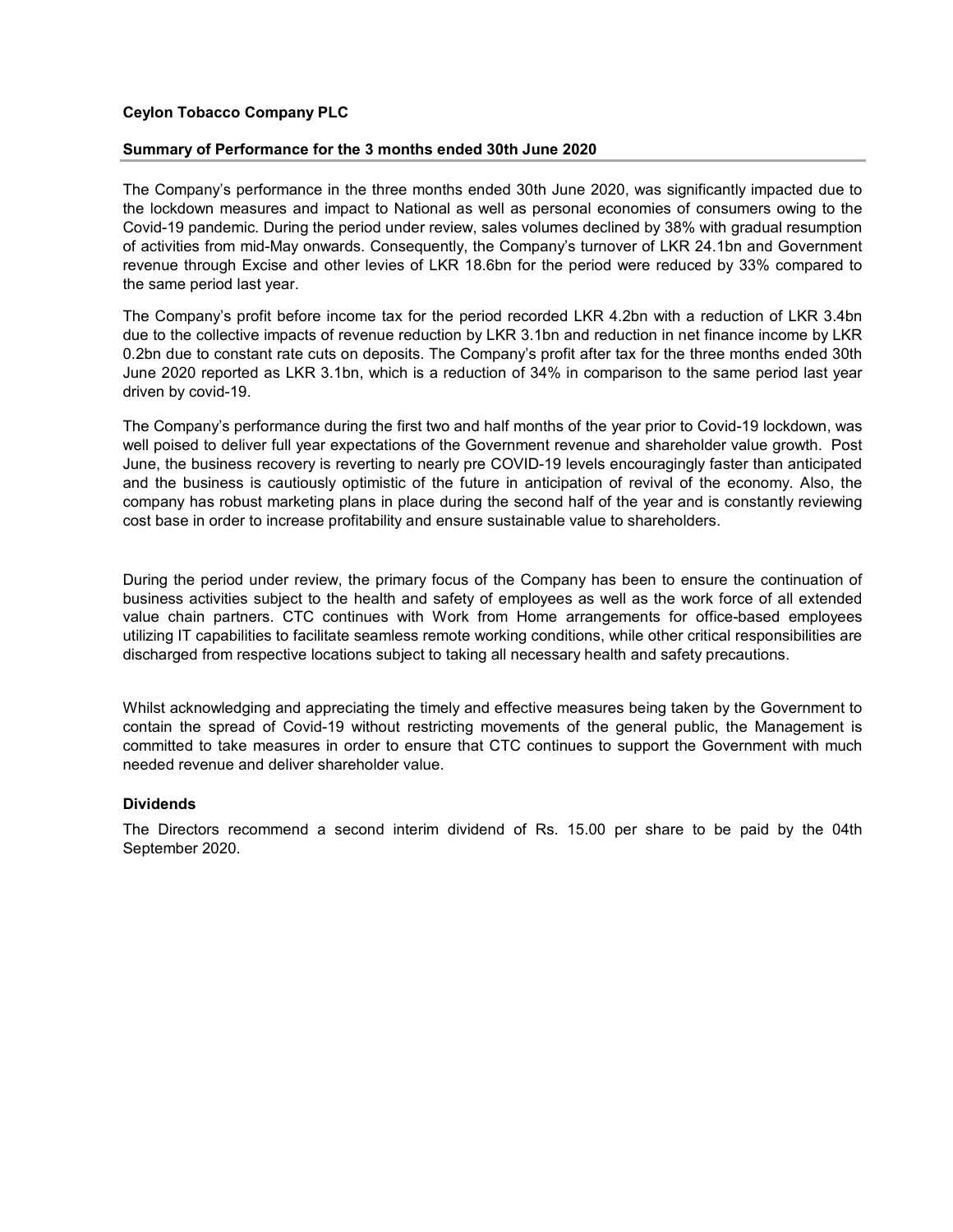# Ceylon Tobacco Company PLC

# Summary of Performance for the 3 months ended 30th June 2020

The Company's performance in the three months ended 30th June 2020, was significantly impacted due to the lockdown measures and impact to National as well as personal economies of consumers owing to the Covid-19 pandemic. During the period under review, sales volumes declined by 38% with gradual resumption of activities from mid-May onwards. Consequently, the Company's turnover of LKR 24.1bn and Government revenue through Excise and other levies of LKR 18.6bn for the period were reduced by 33% compared to the same period last year.

The Company's profit before income tax for the period recorded LKR 4.2bn with a reduction of LKR 3.4bn due to the collective impacts of revenue reduction by LKR 3.1bn and reduction in net finance income by LKR 0.2bn due to constant rate cuts on deposits. The Company's profit after tax for the three months ended 30th June 2020 reported as LKR 3.1bn, which is a reduction of 34% in comparison to the same period last year driven by covid-19.

The Company's performance during the first two and half months of the year prior to Covid-19 lockdown, was well poised to deliver full year expectations of the Government revenue and shareholder value growth. Post June, the business recovery is reverting to nearly pre COVID-19 levels encouragingly faster than anticipated and the business is cautiously optimistic of the future in anticipation of revival of the economy. Also, the company has robust marketing plans in place during the second half of the year and is constantly reviewing cost base in order to increase profitability and ensure sustainable value to shareholders.

During the period under review, the primary focus of the Company has been to ensure the continuation of business activities subject to the health and safety of employees as well as the work force of all extended value chain partners. CTC continues with Work from Home arrangements for office-based employees utilizing IT capabilities to facilitate seamless remote working conditions, while other critical responsibilities are discharged from respective locations subject to taking all necessary health and safety precautions.

Whilst acknowledging and appreciating the timely and effective measures being taken by the Government to contain the spread of Covid-19 without restricting movements of the general public, the Management is committed to take measures in order to ensure that CTC continues to support the Government with much needed revenue and deliver shareholder value.

# **Dividends**

The Directors recommend a second interim dividend of Rs. 15.00 per share to be paid by the 04th September 2020.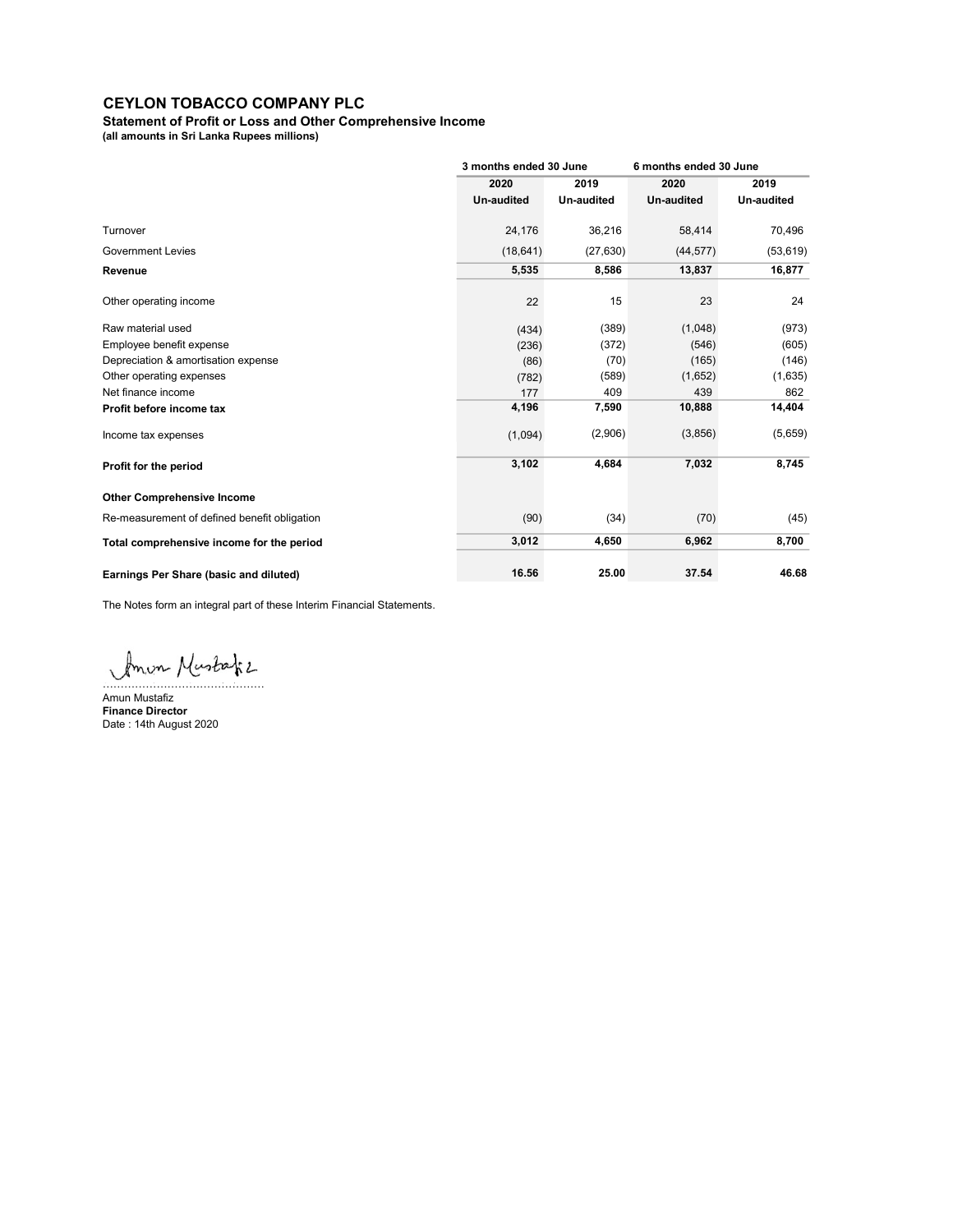Statement of Profit or Loss and Other Comprehensive Income

(all amounts in Sri Lanka Rupees millions)

|                                              | 3 months ended 30 June |                   | 6 months ended 30 June |                   |
|----------------------------------------------|------------------------|-------------------|------------------------|-------------------|
|                                              | 2020                   | 2019              | 2020                   | 2019              |
|                                              | <b>Un-audited</b>      | <b>Un-audited</b> | <b>Un-audited</b>      | <b>Un-audited</b> |
|                                              | 24,176                 | 36,216            | 58,414                 | 70,496            |
| <b>Government Levies</b>                     | (18, 641)              | (27, 630)         | (44, 577)              | (53, 619)         |
|                                              | 5,535                  | 8,586             | 13,837                 | 16,877            |
| Other operating income                       | 22                     | 15                | 23                     | 24                |
| Raw material used                            | (434)                  | (389)             | (1,048)                | (973)             |
| Employee benefit expense                     | (236)                  | (372)             | (546)                  | (605)             |
| Depreciation & amortisation expense          | (86)                   | (70)              | (165)                  | (146)             |
| Other operating expenses                     | (782)                  | (589)             | (1,652)                | (1,635)           |
| Net finance income                           | 177                    | 409               | 439                    | 862               |
| Profit before income tax                     | 4,196                  | 7,590             | 10,888                 | 14,404            |
|                                              | (1,094)                | (2,906)           | (3,856)                | (5,659)           |
|                                              | 3,102                  | 4,684             | 7,032                  | 8,745             |
| <b>Other Comprehensive Income</b>            |                        |                   |                        |                   |
| Re-measurement of defined benefit obligation | (90)                   | (34)              | (70)                   | (45)              |
| Total comprehensive income for the period    | 3,012                  | 4,650             | 6,962                  | 8,700             |
| Earnings Per Share (basic and diluted)       | 16.56                  | 25.00             | 37.54                  | 46.68             |

The Notes form an integral part of these Interim Financial Statements.

Amon Mustafiz

Amun Mustafiz Finance Director Date : 14th August 2020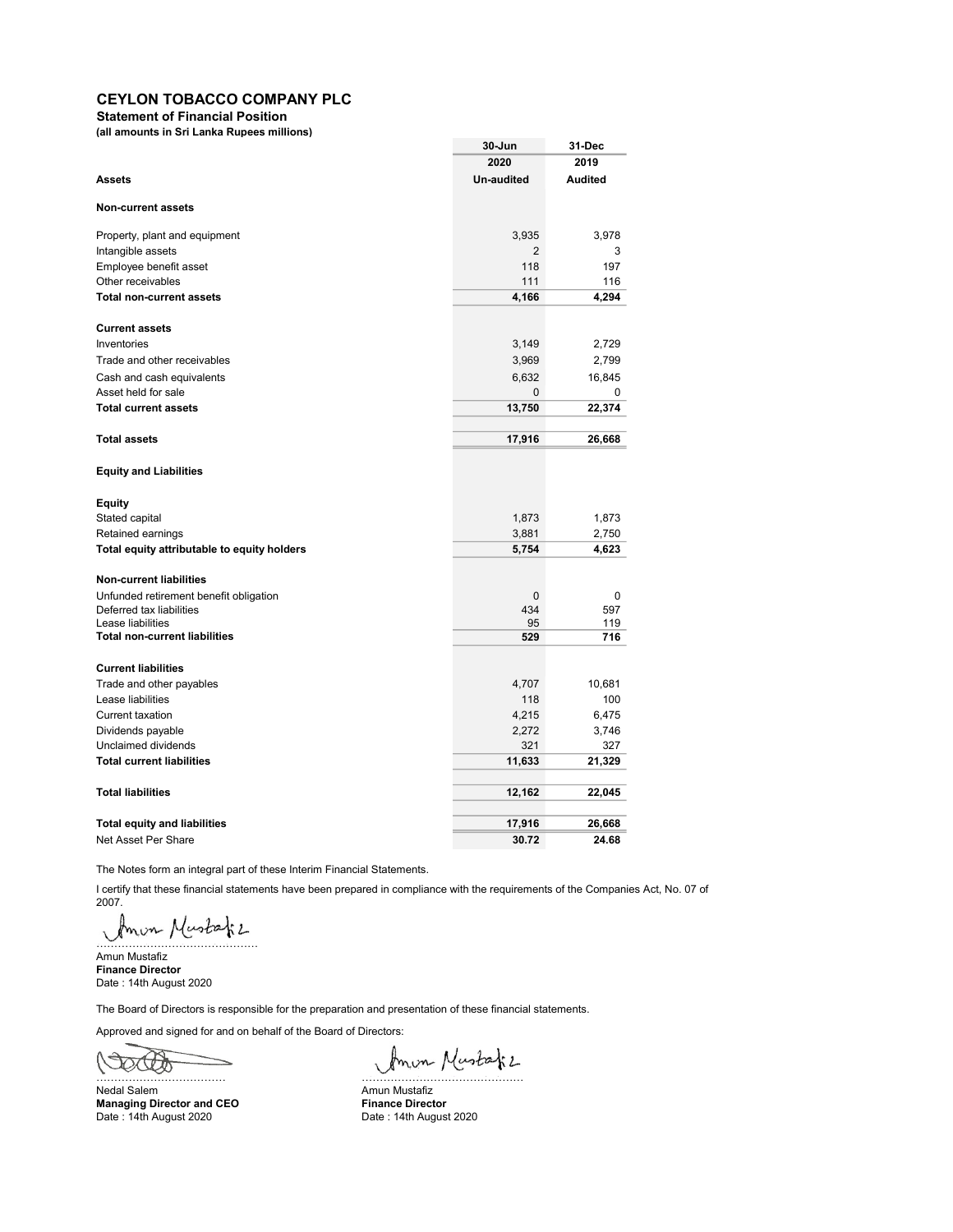Statement of Financial Position

(all amounts in Sri Lanka Rupees millions)

|                                                           | 30-Jun       | 31-Dec         |
|-----------------------------------------------------------|--------------|----------------|
|                                                           | 2020         | 2019           |
| <b>Assets</b>                                             | Un-audited   | <b>Audited</b> |
| <b>Non-current assets</b>                                 |              |                |
| Property, plant and equipment                             | 3,935        | 3,978          |
| Intangible assets                                         | 2            | 3              |
| Employee benefit asset                                    | 118          | 197            |
| Other receivables                                         | 111          | 116            |
| <b>Total non-current assets</b>                           | 4,166        | 4,294          |
| <b>Current assets</b>                                     |              |                |
| Inventories                                               | 3,149        | 2,729          |
| Trade and other receivables                               | 3,969        | 2,799          |
| Cash and cash equivalents                                 | 6,632        | 16,845         |
| Asset held for sale                                       | $\pmb{0}$    | 0              |
| <b>Total current assets</b>                               | 13,750       | 22,374         |
| <b>Total assets</b>                                       | 17,916       | 26,668         |
| <b>Equity and Liabilities</b>                             |              |                |
| Equity                                                    |              |                |
| Stated capital                                            | 1,873        | 1,873          |
| Retained earnings                                         | 3,881        | 2,750          |
| Total equity attributable to equity holders               | 5,754        | 4,623          |
|                                                           |              |                |
| <b>Non-current liabilities</b>                            |              |                |
| Unfunded retirement benefit obligation                    | $\mathbf{0}$ | 0              |
| Deferred tax liabilities                                  | 434          | 597            |
| Lease liabilities<br><b>Total non-current liabilities</b> | 95           | 119            |
|                                                           | 529          | 716            |
| <b>Current liabilities</b>                                |              |                |
| Trade and other payables                                  | 4,707        | 10,681         |
| Lease liabilities                                         | 118          | 100            |
| <b>Current taxation</b>                                   | 4,215        | 6,475          |
| Dividends payable                                         | 2,272        | 3,746          |
| Unclaimed dividends                                       | 321          | 327            |
| <b>Total current liabilities</b>                          | 11,633       | 21,329         |
| <b>Total liabilities</b>                                  | 12,162       | 22,045         |
|                                                           |              |                |
| <b>Total equity and liabilities</b>                       | 17,916       | 26,668         |
| Net Asset Per Share                                       | 30.72        | 24.68          |

The Notes form an integral part of these Interim Financial Statements.

I certify that these financial statements have been prepared in compliance with the requirements of the Companies Act, No. 07 of 2007.

Amon Mustafiz

Amun Mustafiz Finance Director Date : 14th August 2020

The Board of Directors is responsible for the preparation and presentation of these financial statements.

Approved and signed for and on behalf of the Board of Directors:

OCCO

Managing Director and CEO Finance Director Date: 14th August 2020 **Date: 14th August 2020** 

Partie Mustafiz<br>Nedal Salem Amun Mustafiz

Amun Mustafiz<br>Finance Director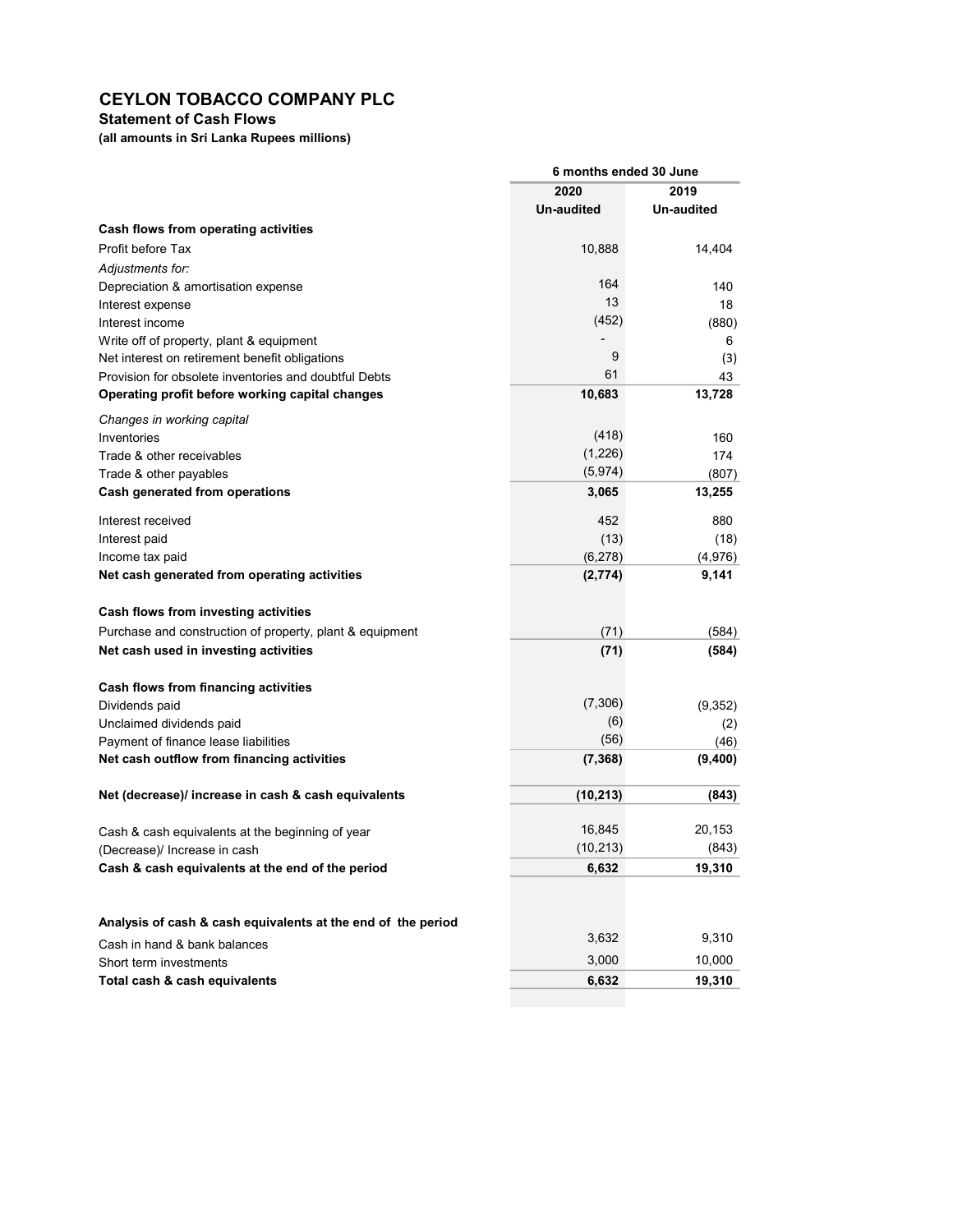# Statement of Cash Flows

(all amounts in Sri Lanka Rupees millions)

|                                                              | 6 months ended 30 June |            |  |
|--------------------------------------------------------------|------------------------|------------|--|
|                                                              | 2020                   | 2019       |  |
|                                                              | <b>Un-audited</b>      | Un-audited |  |
| Cash flows from operating activities                         |                        |            |  |
| Profit before Tax                                            | 10,888                 | 14,404     |  |
| Adjustments for:                                             |                        |            |  |
| Depreciation & amortisation expense                          | 164                    | 140        |  |
| Interest expense                                             | 13                     | 18         |  |
| Interest income                                              | (452)                  | (880)      |  |
| Write off of property, plant & equipment                     |                        | 6          |  |
| Net interest on retirement benefit obligations               | 9                      | (3)        |  |
| Provision for obsolete inventories and doubtful Debts        | 61                     | 43         |  |
| Operating profit before working capital changes              | 10,683                 | 13,728     |  |
| Changes in working capital                                   |                        |            |  |
| Inventories                                                  | (418)                  | 160        |  |
| Trade & other receivables                                    | (1,226)                | 174        |  |
| Trade & other payables                                       | (5, 974)               | (807)      |  |
| Cash generated from operations                               | 3,065                  | 13,255     |  |
| Interest received                                            | 452                    | 880        |  |
| Interest paid                                                | (13)                   | (18)       |  |
| Income tax paid                                              | (6, 278)               | (4,976)    |  |
| Net cash generated from operating activities                 | (2,774)                | 9,141      |  |
| Cash flows from investing activities                         |                        |            |  |
| Purchase and construction of property, plant & equipment     | (71)                   | (584)      |  |
| Net cash used in investing activities                        | (71)                   | (584)      |  |
|                                                              |                        |            |  |
| Cash flows from financing activities                         |                        |            |  |
| Dividends paid                                               | (7,306)                | (9, 352)   |  |
| Unclaimed dividends paid                                     | (6)                    | (2)        |  |
| Payment of finance lease liabilities                         | (56)                   | (46)       |  |
| Net cash outflow from financing activities                   | (7, 368)               | (9,400)    |  |
| Net (decrease)/ increase in cash & cash equivalents          | (10, 213)              | (843)      |  |
| Cash & cash equivalents at the beginning of year             | 16,845                 | 20,153     |  |
| (Decrease)/ Increase in cash                                 | (10, 213)              | (843)      |  |
| Cash & cash equivalents at the end of the period             | 6,632                  | 19,310     |  |
|                                                              |                        |            |  |
| Analysis of cash & cash equivalents at the end of the period |                        |            |  |
| Cash in hand & bank balances                                 | 3,632                  | 9,310      |  |
| Short term investments                                       | 3,000                  | 10,000     |  |
| Total cash & cash equivalents                                | 6,632                  | 19,310     |  |
|                                                              |                        |            |  |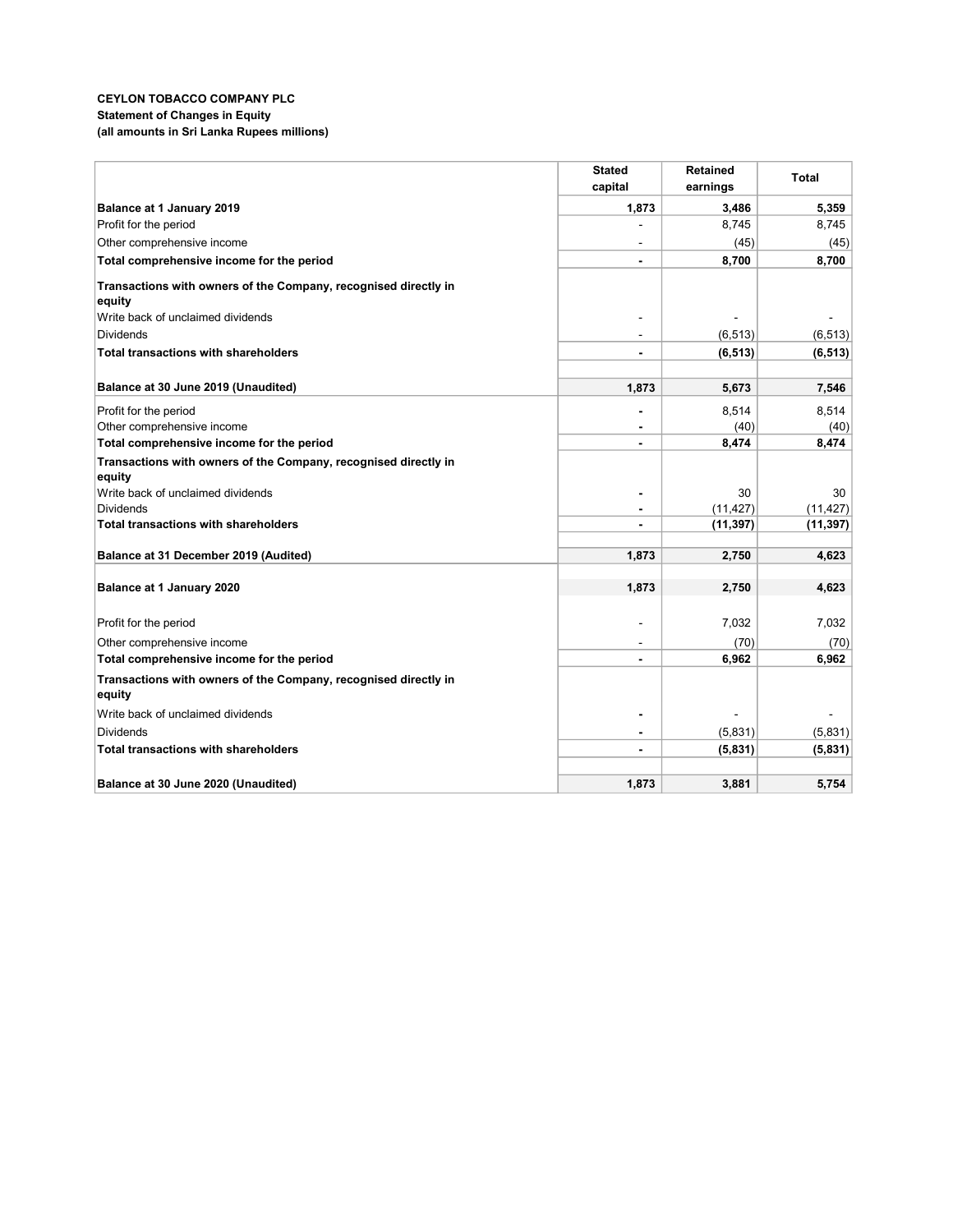## CEYLON TOBACCO COMPANY PLC Statement of Changes in Equity (all amounts in Sri Lanka Rupees millions)

|                                                                 | <b>Stated</b>  | <b>Retained</b> | <b>Total</b> |
|-----------------------------------------------------------------|----------------|-----------------|--------------|
|                                                                 | capital        | earnings        |              |
| Balance at 1 January 2019                                       | 1,873          | 3,486           | 5,359        |
| Profit for the period                                           |                | 8,745           | 8,745        |
| Other comprehensive income                                      |                | (45)            | (45)         |
| Total comprehensive income for the period                       |                | 8,700           | 8,700        |
| Transactions with owners of the Company, recognised directly in |                |                 |              |
| equity                                                          |                |                 |              |
| Write back of unclaimed dividends                               |                |                 |              |
| <b>Dividends</b>                                                |                | (6, 513)        | (6, 513)     |
| <b>Total transactions with shareholders</b>                     |                | (6, 513)        | (6, 513)     |
|                                                                 |                |                 |              |
| Balance at 30 June 2019 (Unaudited)                             | 1.873          | 5,673           | 7,546        |
| Profit for the period                                           |                | 8,514           | 8,514        |
| Other comprehensive income                                      |                | (40)            | (40)         |
| Total comprehensive income for the period                       |                | 8,474           | 8,474        |
| Transactions with owners of the Company, recognised directly in |                |                 |              |
| equity                                                          |                |                 |              |
| Write back of unclaimed dividends                               |                | 30              | 30           |
| <b>Dividends</b>                                                |                | (11, 427)       | (11, 427)    |
| <b>Total transactions with shareholders</b>                     |                | (11, 397)       | (11, 397)    |
| Balance at 31 December 2019 (Audited)                           | 1,873          | 2,750           | 4,623        |
|                                                                 |                |                 |              |
| Balance at 1 January 2020                                       | 1,873          | 2,750           | 4,623        |
|                                                                 |                |                 |              |
| Profit for the period                                           |                | 7,032           | 7,032        |
| Other comprehensive income                                      |                | (70)            | (70)         |
| Total comprehensive income for the period                       |                | 6,962           | 6,962        |
| Transactions with owners of the Company, recognised directly in |                |                 |              |
| equity                                                          |                |                 |              |
| Write back of unclaimed dividends                               |                |                 |              |
| <b>Dividends</b>                                                | $\blacksquare$ | (5,831)         | (5,831)      |
| <b>Total transactions with shareholders</b>                     |                | (5,831)         | (5,831)      |
|                                                                 |                |                 |              |
| Balance at 30 June 2020 (Unaudited)                             | 1,873          | 3,881           | 5,754        |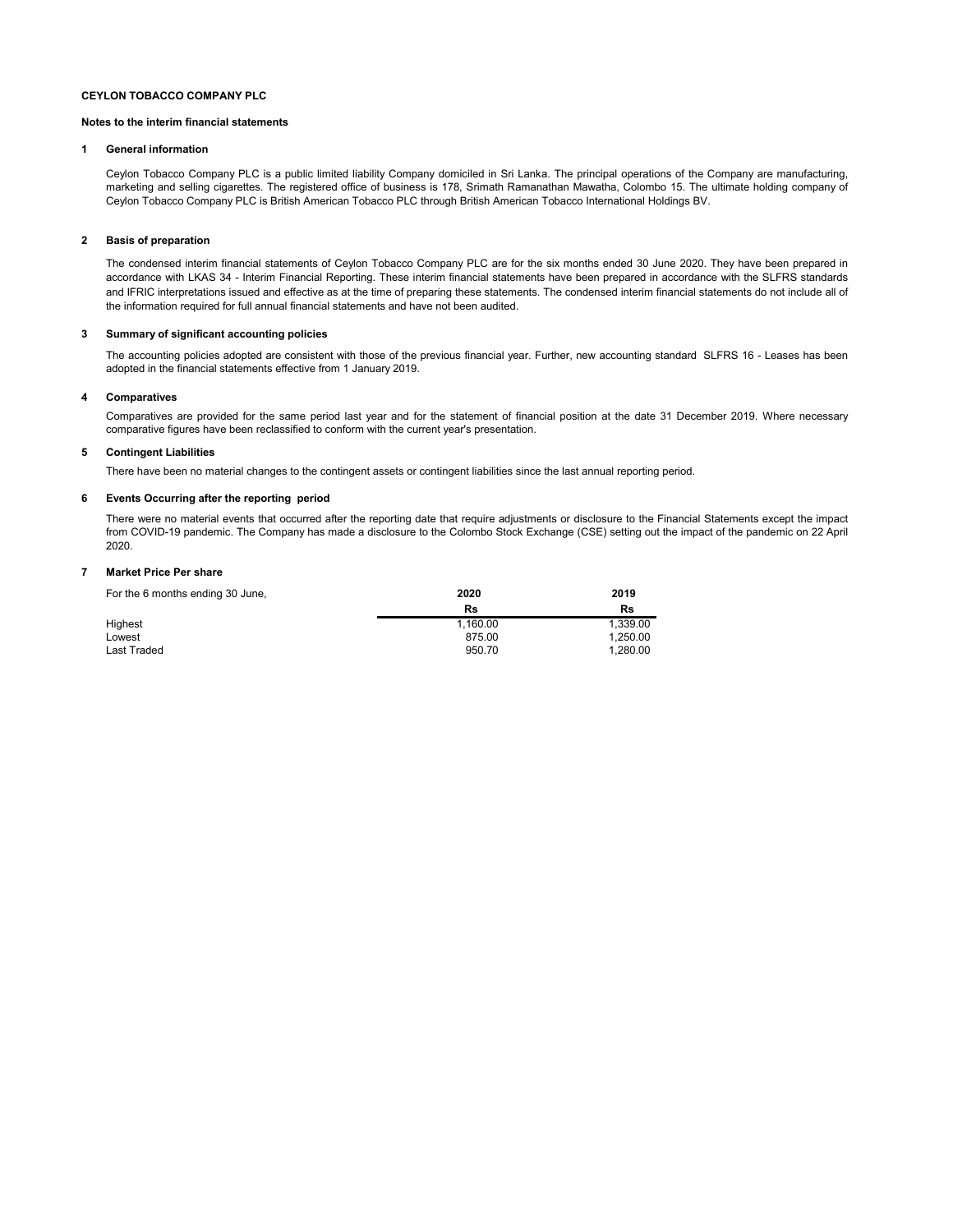#### Notes to the interim financial statements

#### 1 General information

Ceylon Tobacco Company PLC is a public limited liability Company domiciled in Sri Lanka. The principal operations of the Company are manufacturing, marketing and selling cigarettes. The registered office of business is 178, Srimath Ramanathan Mawatha, Colombo 15. The ultimate holding company of Ceylon Tobacco Company PLC is British American Tobacco PLC through British American Tobacco International Holdings BV.

#### 2 Basis of preparation

The condensed interim financial statements of Ceylon Tobacco Company PLC are for the six months ended 30 June 2020. They have been prepared in accordance with LKAS 34 - Interim Financial Reporting. These interim financial statements have been prepared in accordance with the SLFRS standards and IFRIC interpretations issued and effective as at the time of preparing these statements. The condensed interim financial statements do not include all of the information required for full annual financial statements and have not been audited.

#### 3 Summary of significant accounting policies

The accounting policies adopted are consistent with those of the previous financial year. Further, new accounting standard SLFRS 16 - Leases has been adopted in the financial statements effective from 1 January 2019.

#### 4 Comparatives

Comparatives are provided for the same period last year and for the statement of financial position at the date 31 December 2019. Where necessary comparative figures have been reclassified to conform with the current year's presentation.

#### 5 Contingent Liabilities

There have been no material changes to the contingent assets or contingent liabilities since the last annual reporting period.

#### 6 Events Occurring after the reporting period

There were no material events that occurred after the reporting date that require adjustments or disclosure to the Financial Statements except the impact from COVID-19 pandemic. The Company has made a disclosure to the Colombo Stock Exchange (CSE) setting out the impact of the pandemic on 22 April 2020.

#### 7 Market Price Per share

| For the 6 months ending 30 June, | 2020     | 2019     |
|----------------------------------|----------|----------|
|                                  | Rs       | Rs       |
| Highest                          | 1.160.00 | 1.339.00 |
| Lowest                           | 875.00   | 1.250.00 |
| Last Traded                      | 950.70   | 1.280.00 |